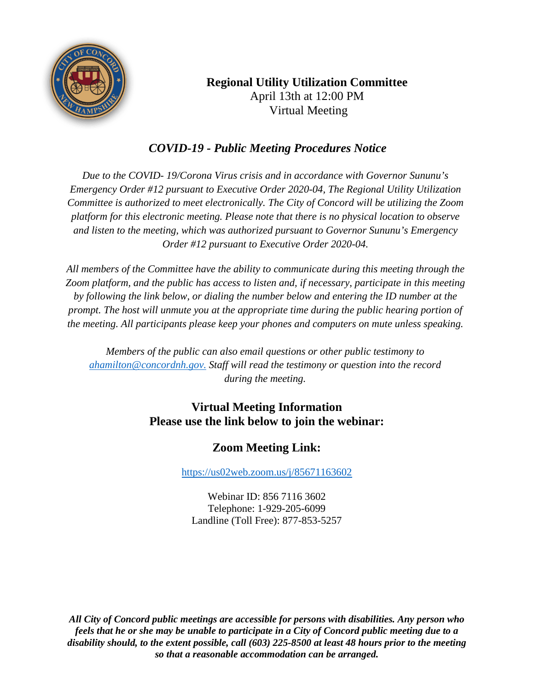

# **Regional Utility Utilization Committee** April 13th at 12:00 PM Virtual Meeting

# *COVID-19 - Public Meeting Procedures Notice*

*Due to the COVID- 19/Corona Virus crisis and in accordance with Governor Sununu's Emergency Order #12 pursuant to Executive Order 2020-04, The Regional Utility Utilization Committee is authorized to meet electronically. The City of Concord will be utilizing the Zoom platform for this electronic meeting. Please note that there is no physical location to observe and listen to the meeting, which was authorized pursuant to Governor Sununu's Emergency Order #12 pursuant to Executive Order 2020-04.*

*All members of the Committee have the ability to communicate during this meeting through the Zoom platform, and the public has access to listen and, if necessary, participate in this meeting by following the link below, or dialing the number below and entering the ID number at the prompt. The host will unmute you at the appropriate time during the public hearing portion of the meeting. All participants please keep your phones and computers on mute unless speaking.*

*Members of the public can also email questions or other public testimony to [ahamilton@concordnh.gov.](mailto:ahamilton@concordnh.gov.) Staff will read the testimony or question into the record during the meeting.*

## **Virtual Meeting Information Please use the link below to join the webinar:**

# **Zoom Meeting Link:**

<https://us02web.zoom.us/j/85671163602>

Webinar ID: 856 7116 3602 Telephone: 1-929-205-6099 Landline (Toll Free): 877-853-5257

*All City of Concord public meetings are accessible for persons with disabilities. Any person who feels that he or she may be unable to participate in a City of Concord public meeting due to a disability should, to the extent possible, call (603) 225-8500 at least 48 hours prior to the meeting so that a reasonable accommodation can be arranged.*